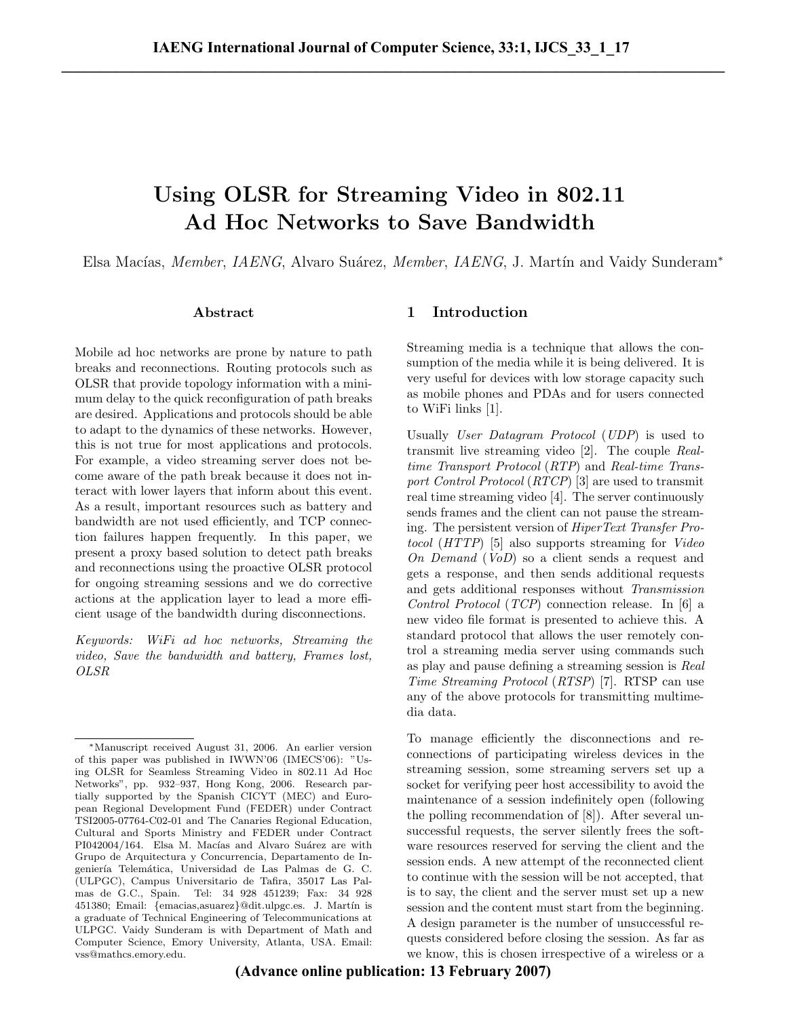# Using OLSR for Streaming Video in 802.11 Ad Hoc Networks to Save Bandwidth

Elsa Macías, *Member*, *IAENG*, Alvaro Suárez, *Member, IAENG*, J. Martín and Vaidy Sunderam<sup>\*</sup>

## Abstract

Mobile ad hoc networks are prone by nature to path breaks and reconnections. Routing protocols such as OLSR that provide topology information with a minimum delay to the quick reconfiguration of path breaks are desired. Applications and protocols should be able to adapt to the dynamics of these networks. However, this is not true for most applications and protocols. For example, a video streaming server does not become aware of the path break because it does not interact with lower layers that inform about this event. As a result, important resources such as battery and bandwidth are not used efficiently, and TCP connection failures happen frequently. In this paper, we present a proxy based solution to detect path breaks and reconnections using the proactive OLSR protocol for ongoing streaming sessions and we do corrective actions at the application layer to lead a more efficient usage of the bandwidth during disconnections.

Keywords: WiFi ad hoc networks, Streaming the video, Save the bandwidth and battery, Frames lost, OLSR

# 1 Introduction

Streaming media is a technique that allows the consumption of the media while it is being delivered. It is very useful for devices with low storage capacity such as mobile phones and PDAs and for users connected to WiFi links [1].

Usually User Datagram Protocol (UDP) is used to transmit live streaming video [2]. The couple Realtime Transport Protocol (RTP) and Real-time Transport Control Protocol (RTCP) [3] are used to transmit real time streaming video [4]. The server continuously sends frames and the client can not pause the streaming. The persistent version of HiperText Transfer Protocol (HTTP) [5] also supports streaming for Video On Demand (VoD) so a client sends a request and gets a response, and then sends additional requests and gets additional responses without Transmission Control Protocol (TCP) connection release. In [6] a new video file format is presented to achieve this. A standard protocol that allows the user remotely control a streaming media server using commands such as play and pause defining a streaming session is Real Time Streaming Protocol (RTSP) [7]. RTSP can use any of the above protocols for transmitting multimedia data.

To manage efficiently the disconnections and reconnections of participating wireless devices in the streaming session, some streaming servers set up a socket for verifying peer host accessibility to avoid the maintenance of a session indefinitely open (following the polling recommendation of [8]). After several unsuccessful requests, the server silently frees the software resources reserved for serving the client and the session ends. A new attempt of the reconnected client to continue with the session will be not accepted, that is to say, the client and the server must set up a new session and the content must start from the beginning. A design parameter is the number of unsuccessful requests considered before closing the session. As far as we know, this is chosen irrespective of a wireless or a

<sup>∗</sup>Manuscript received August 31, 2006. An earlier version of this paper was published in IWWN'06 (IMECS'06): "Using OLSR for Seamless Streaming Video in 802.11 Ad Hoc Networks", pp. 932–937, Hong Kong, 2006. Research partially supported by the Spanish CICYT (MEC) and European Regional Development Fund (FEDER) under Contract TSI2005-07764-C02-01 and The Canaries Regional Education, Cultural and Sports Ministry and FEDER under Contract PI042004/164. Elsa M. Macías and Alvaro Suárez are with Grupo de Arquitectura y Concurrencia, Departamento de Ingeniería Telemática, Universidad de Las Palmas de G. C. (ULPGC), Campus Universitario de Tafira, 35017 Las Palmas de G.C., Spain. Tel: 34 928 451239; Fax: 34 928 451380; Email: {emacias,asuarez}@dit.ulpgc.es. J. Martín is a graduate of Technical Engineering of Telecommunications at ULPGC. Vaidy Sunderam is with Department of Math and Computer Science, Emory University, Atlanta, USA. Email: vss@mathcs.emory.edu.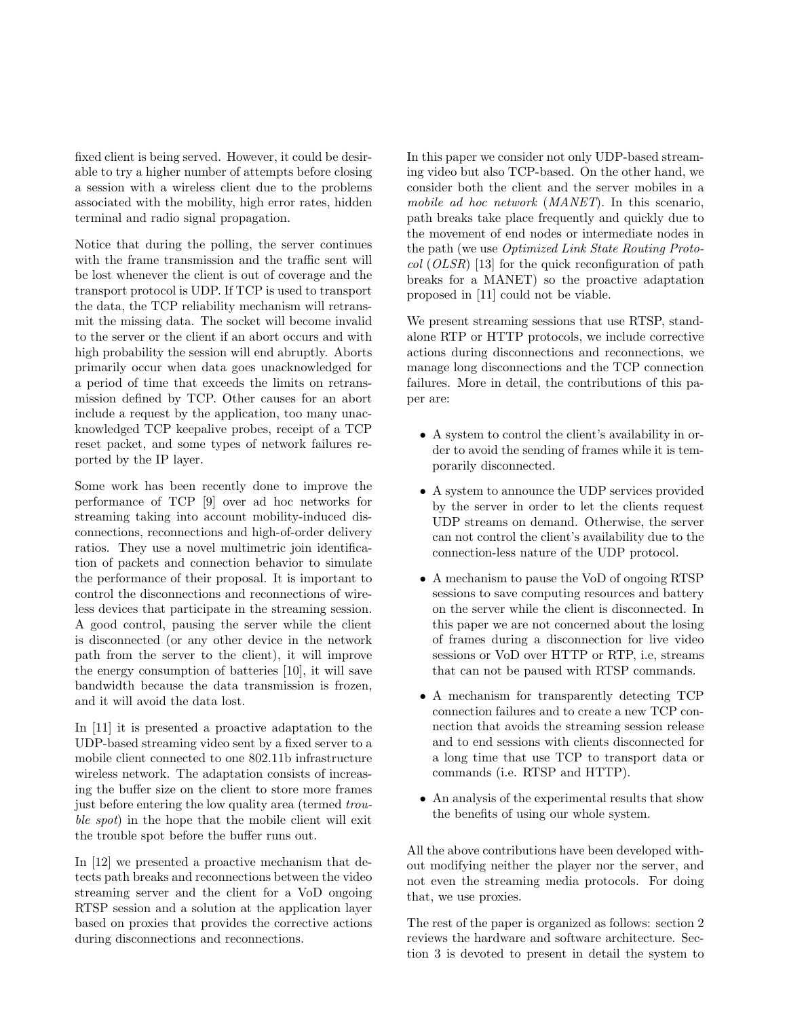fixed client is being served. However, it could be desirable to try a higher number of attempts before closing a session with a wireless client due to the problems associated with the mobility, high error rates, hidden terminal and radio signal propagation.

Notice that during the polling, the server continues with the frame transmission and the traffic sent will be lost whenever the client is out of coverage and the transport protocol is UDP. If TCP is used to transport the data, the TCP reliability mechanism will retransmit the missing data. The socket will become invalid to the server or the client if an abort occurs and with high probability the session will end abruptly. Aborts primarily occur when data goes unacknowledged for a period of time that exceeds the limits on retransmission defined by TCP. Other causes for an abort include a request by the application, too many unacknowledged TCP keepalive probes, receipt of a TCP reset packet, and some types of network failures reported by the IP layer.

Some work has been recently done to improve the performance of TCP [9] over ad hoc networks for streaming taking into account mobility-induced disconnections, reconnections and high-of-order delivery ratios. They use a novel multimetric join identification of packets and connection behavior to simulate the performance of their proposal. It is important to control the disconnections and reconnections of wireless devices that participate in the streaming session. A good control, pausing the server while the client is disconnected (or any other device in the network path from the server to the client), it will improve the energy consumption of batteries [10], it will save bandwidth because the data transmission is frozen, and it will avoid the data lost.

In [11] it is presented a proactive adaptation to the UDP-based streaming video sent by a fixed server to a mobile client connected to one 802.11b infrastructure wireless network. The adaptation consists of increasing the buffer size on the client to store more frames just before entering the low quality area (termed trouble spot) in the hope that the mobile client will exit the trouble spot before the buffer runs out.

In [12] we presented a proactive mechanism that detects path breaks and reconnections between the video streaming server and the client for a VoD ongoing RTSP session and a solution at the application layer based on proxies that provides the corrective actions during disconnections and reconnections.

In this paper we consider not only UDP-based streaming video but also TCP-based. On the other hand, we consider both the client and the server mobiles in a mobile ad hoc network (MANET). In this scenario, path breaks take place frequently and quickly due to the movement of end nodes or intermediate nodes in the path (we use Optimized Link State Routing Proto $col (OLSR)$  [13] for the quick reconfiguration of path breaks for a MANET) so the proactive adaptation proposed in [11] could not be viable.

We present streaming sessions that use RTSP, standalone RTP or HTTP protocols, we include corrective actions during disconnections and reconnections, we manage long disconnections and the TCP connection failures. More in detail, the contributions of this paper are:

- A system to control the client's availability in order to avoid the sending of frames while it is temporarily disconnected.
- A system to announce the UDP services provided by the server in order to let the clients request UDP streams on demand. Otherwise, the server can not control the client's availability due to the connection-less nature of the UDP protocol.
- A mechanism to pause the VoD of ongoing RTSP sessions to save computing resources and battery on the server while the client is disconnected. In this paper we are not concerned about the losing of frames during a disconnection for live video sessions or VoD over HTTP or RTP, i.e, streams that can not be paused with RTSP commands.
- A mechanism for transparently detecting TCP connection failures and to create a new TCP connection that avoids the streaming session release and to end sessions with clients disconnected for a long time that use TCP to transport data or commands (i.e. RTSP and HTTP).
- An analysis of the experimental results that show the benefits of using our whole system.

All the above contributions have been developed without modifying neither the player nor the server, and not even the streaming media protocols. For doing that, we use proxies.

The rest of the paper is organized as follows: section 2 reviews the hardware and software architecture. Section 3 is devoted to present in detail the system to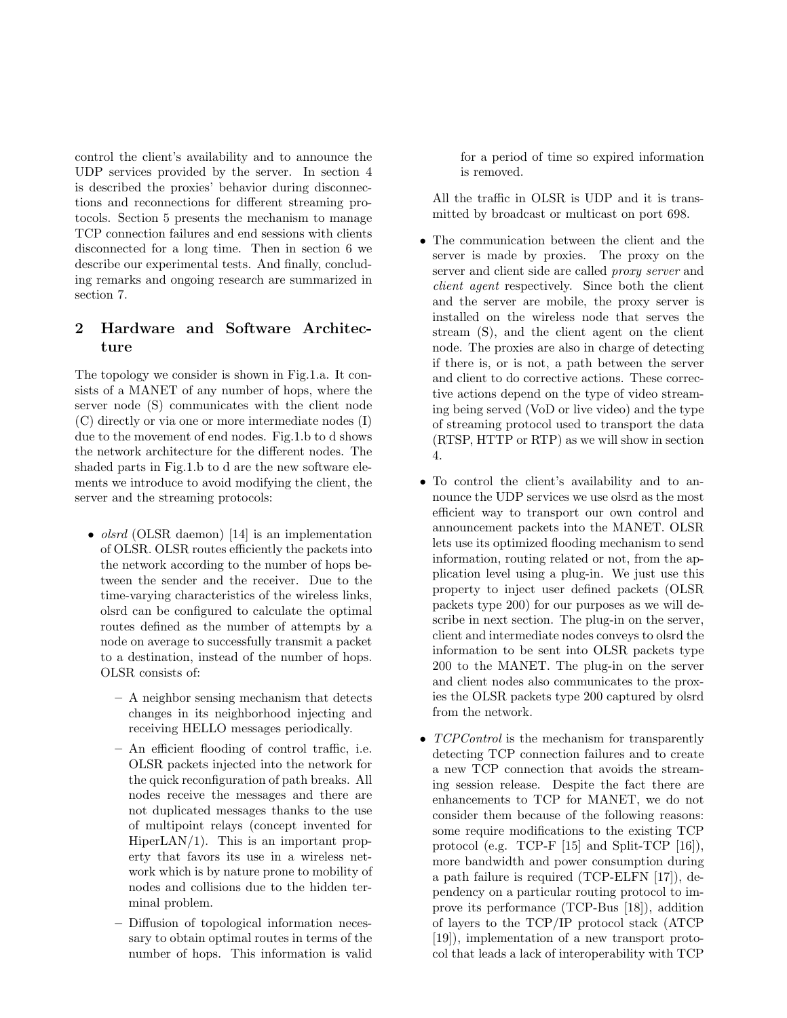control the client's availability and to announce the UDP services provided by the server. In section 4 is described the proxies' behavior during disconnections and reconnections for different streaming protocols. Section 5 presents the mechanism to manage TCP connection failures and end sessions with clients disconnected for a long time. Then in section 6 we describe our experimental tests. And finally, concluding remarks and ongoing research are summarized in section 7.

# 2 Hardware and Software Architecture

The topology we consider is shown in Fig.1.a. It consists of a MANET of any number of hops, where the server node (S) communicates with the client node (C) directly or via one or more intermediate nodes (I) due to the movement of end nodes. Fig.1.b to d shows the network architecture for the different nodes. The shaded parts in Fig.1.b to d are the new software elements we introduce to avoid modifying the client, the server and the streaming protocols:

- *olsrd* (OLSR daemon) [14] is an implementation of OLSR. OLSR routes efficiently the packets into the network according to the number of hops between the sender and the receiver. Due to the time-varying characteristics of the wireless links, olsrd can be configured to calculate the optimal routes defined as the number of attempts by a node on average to successfully transmit a packet to a destination, instead of the number of hops. OLSR consists of:
	- A neighbor sensing mechanism that detects changes in its neighborhood injecting and receiving HELLO messages periodically.
	- An efficient flooding of control traffic, i.e. OLSR packets injected into the network for the quick reconfiguration of path breaks. All nodes receive the messages and there are not duplicated messages thanks to the use of multipoint relays (concept invented for HiperLAN/1). This is an important property that favors its use in a wireless network which is by nature prone to mobility of nodes and collisions due to the hidden terminal problem.
	- Diffusion of topological information necessary to obtain optimal routes in terms of the number of hops. This information is valid

for a period of time so expired information is removed.

All the traffic in OLSR is UDP and it is transmitted by broadcast or multicast on port 698.

- The communication between the client and the server is made by proxies. The proxy on the server and client side are called *proxy server* and client agent respectively. Since both the client and the server are mobile, the proxy server is installed on the wireless node that serves the stream (S), and the client agent on the client node. The proxies are also in charge of detecting if there is, or is not, a path between the server and client to do corrective actions. These corrective actions depend on the type of video streaming being served (VoD or live video) and the type of streaming protocol used to transport the data (RTSP, HTTP or RTP) as we will show in section 4.
- To control the client's availability and to announce the UDP services we use olsrd as the most efficient way to transport our own control and announcement packets into the MANET. OLSR lets use its optimized flooding mechanism to send information, routing related or not, from the application level using a plug-in. We just use this property to inject user defined packets (OLSR packets type 200) for our purposes as we will describe in next section. The plug-in on the server, client and intermediate nodes conveys to olsrd the information to be sent into OLSR packets type 200 to the MANET. The plug-in on the server and client nodes also communicates to the proxies the OLSR packets type 200 captured by olsrd from the network.
- TCPControl is the mechanism for transparently detecting TCP connection failures and to create a new TCP connection that avoids the streaming session release. Despite the fact there are enhancements to TCP for MANET, we do not consider them because of the following reasons: some require modifications to the existing TCP protocol (e.g. TCP-F [15] and Split-TCP [16]), more bandwidth and power consumption during a path failure is required (TCP-ELFN [17]), dependency on a particular routing protocol to improve its performance (TCP-Bus [18]), addition of layers to the TCP/IP protocol stack (ATCP [19]), implementation of a new transport protocol that leads a lack of interoperability with TCP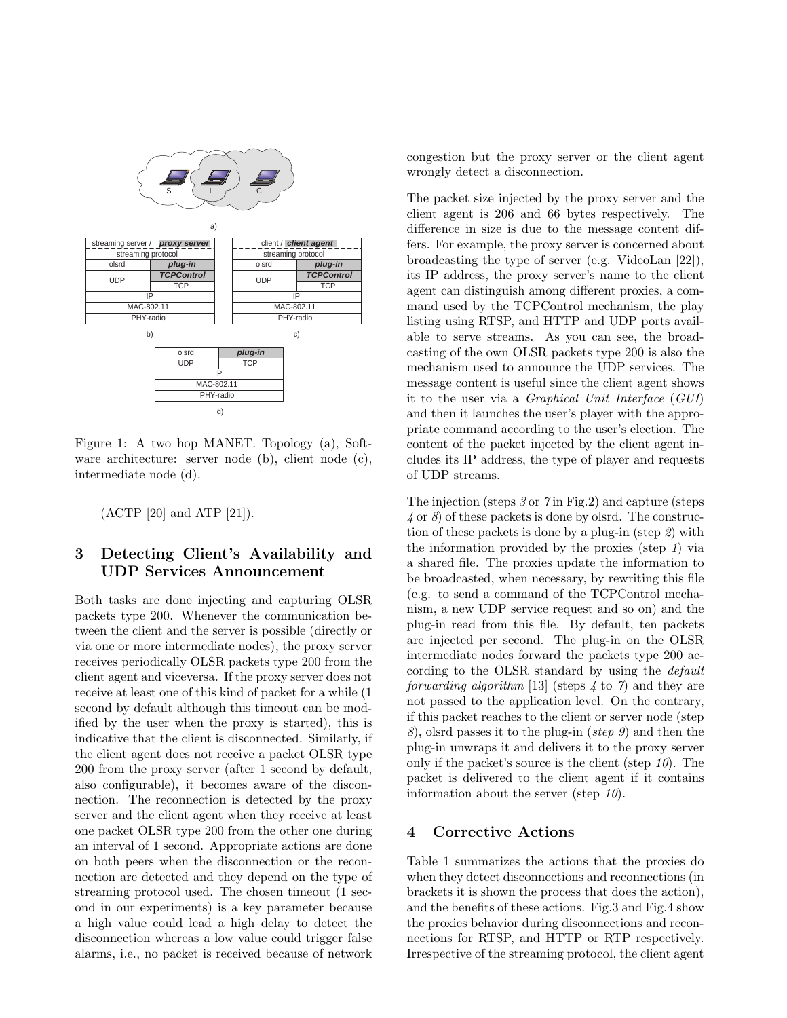

Figure 1: A two hop MANET. Topology (a), Software architecture: server node (b), client node (c), intermediate node (d).

(ACTP [20] and ATP [21]).

# 3 Detecting Client's Availability and UDP Services Announcement

Both tasks are done injecting and capturing OLSR packets type 200. Whenever the communication between the client and the server is possible (directly or via one or more intermediate nodes), the proxy server receives periodically OLSR packets type 200 from the client agent and viceversa. If the proxy server does not receive at least one of this kind of packet for a while (1 second by default although this timeout can be modified by the user when the proxy is started), this is indicative that the client is disconnected. Similarly, if the client agent does not receive a packet OLSR type 200 from the proxy server (after 1 second by default, also configurable), it becomes aware of the disconnection. The reconnection is detected by the proxy server and the client agent when they receive at least one packet OLSR type 200 from the other one during an interval of 1 second. Appropriate actions are done on both peers when the disconnection or the reconnection are detected and they depend on the type of streaming protocol used. The chosen timeout (1 second in our experiments) is a key parameter because a high value could lead a high delay to detect the disconnection whereas a low value could trigger false alarms, i.e., no packet is received because of network congestion but the proxy server or the client agent wrongly detect a disconnection.

The packet size injected by the proxy server and the client agent is 206 and 66 bytes respectively. The difference in size is due to the message content differs. For example, the proxy server is concerned about broadcasting the type of server (e.g. VideoLan [22]), its IP address, the proxy server's name to the client agent can distinguish among different proxies, a command used by the TCPControl mechanism, the play listing using RTSP, and HTTP and UDP ports available to serve streams. As you can see, the broadcasting of the own OLSR packets type 200 is also the mechanism used to announce the UDP services. The message content is useful since the client agent shows it to the user via a Graphical Unit Interface (GUI) and then it launches the user's player with the appropriate command according to the user's election. The content of the packet injected by the client agent includes its IP address, the type of player and requests of UDP streams.

The injection (steps 3 or 7 in Fig.2) and capture (steps  $\angle$  or  $\angle$ ) of these packets is done by olsrd. The construction of these packets is done by a plug-in (step 2) with the information provided by the proxies (step 1) via a shared file. The proxies update the information to be broadcasted, when necessary, by rewriting this file (e.g. to send a command of the TCPControl mechanism, a new UDP service request and so on) and the plug-in read from this file. By default, ten packets are injected per second. The plug-in on the OLSR intermediate nodes forward the packets type 200 according to the OLSR standard by using the default forwarding algorithm [13] (steps  $\neq$  to  $\gamma$ ) and they are not passed to the application level. On the contrary, if this packet reaches to the client or server node (step 8), olsrd passes it to the plug-in (step 9) and then the plug-in unwraps it and delivers it to the proxy server only if the packet's source is the client (step  $10$ ). The packet is delivered to the client agent if it contains information about the server (step  $10$ ).

# 4 Corrective Actions

Table 1 summarizes the actions that the proxies do when they detect disconnections and reconnections (in brackets it is shown the process that does the action), and the benefits of these actions. Fig.3 and Fig.4 show the proxies behavior during disconnections and reconnections for RTSP, and HTTP or RTP respectively. Irrespective of the streaming protocol, the client agent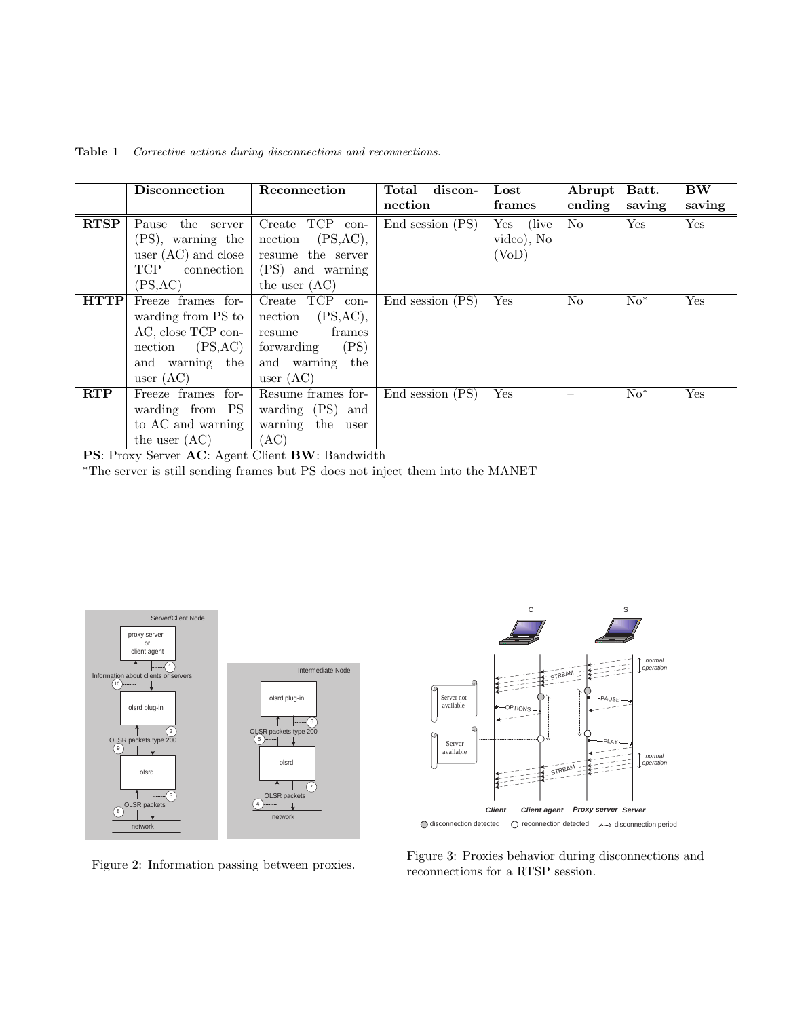|                                                 | Disconnection                                                                  | Reconnection         | discon-<br>Total | $_{\rm Lost}$ | Abrupt         | Batt.  | <b>BW</b> |  |
|-------------------------------------------------|--------------------------------------------------------------------------------|----------------------|------------------|---------------|----------------|--------|-----------|--|
|                                                 |                                                                                |                      | nection          | frames        | ending         | saving | saving    |  |
| <b>RTSP</b>                                     | the server<br>Pause                                                            | Create TCP con-      | End session (PS) | Yes (live     | No             | Yes    | Yes       |  |
|                                                 | (PS), warning the                                                              | (PS, AC),<br>nection |                  | video), No    |                |        |           |  |
|                                                 | user $(AC)$ and close                                                          | resume the server    |                  | (VoD)         |                |        |           |  |
|                                                 | TCP<br>connection                                                              | (PS) and warning     |                  |               |                |        |           |  |
|                                                 | (PS, AC)                                                                       | the user $(AC)$      |                  |               |                |        |           |  |
| <b>HTTP</b>                                     | Freeze frames for-                                                             | Create TCP<br>con-   | End session (PS) | Yes           | N <sub>0</sub> | $No*$  | Yes       |  |
|                                                 | warding from PS to                                                             | (PS, AC),<br>nection |                  |               |                |        |           |  |
|                                                 | AC, close TCP con-                                                             | frames<br>resume     |                  |               |                |        |           |  |
|                                                 | (PS, AC)<br>nection                                                            | (PS)<br>forwarding   |                  |               |                |        |           |  |
|                                                 | and warning the                                                                | and warning<br>the   |                  |               |                |        |           |  |
|                                                 | user $(AC)$                                                                    | user $(AC)$          |                  |               |                |        |           |  |
| <b>RTP</b>                                      | Freeze frames for-                                                             | Resume frames for-   | End session (PS) | Yes           |                | $No*$  | Yes       |  |
|                                                 | warding from PS                                                                | warding (PS) and     |                  |               |                |        |           |  |
|                                                 | to AC and warning                                                              | warning the user     |                  |               |                |        |           |  |
|                                                 | the user $(AC)$                                                                | (AC)                 |                  |               |                |        |           |  |
| PS: Proxy Server AC: Agent Client BW: Bandwidth |                                                                                |                      |                  |               |                |        |           |  |
|                                                 | *The server is still sending frames but PS does not inject them into the MANET |                      |                  |               |                |        |           |  |

Table 1 Corrective actions during disconnections and reconnections.



**Client Client agent Proxy server Server**  AUSE PLAY OPTIONS Server available STREAM normal operation **STREAM** normal operation C S Server not available

○ disconnection detected ○ reconnection detected / / disconnection period

Figure 3: Proxies behavior during disconnections and reconnections for a RTSP session.

Figure 2: Information passing between proxies.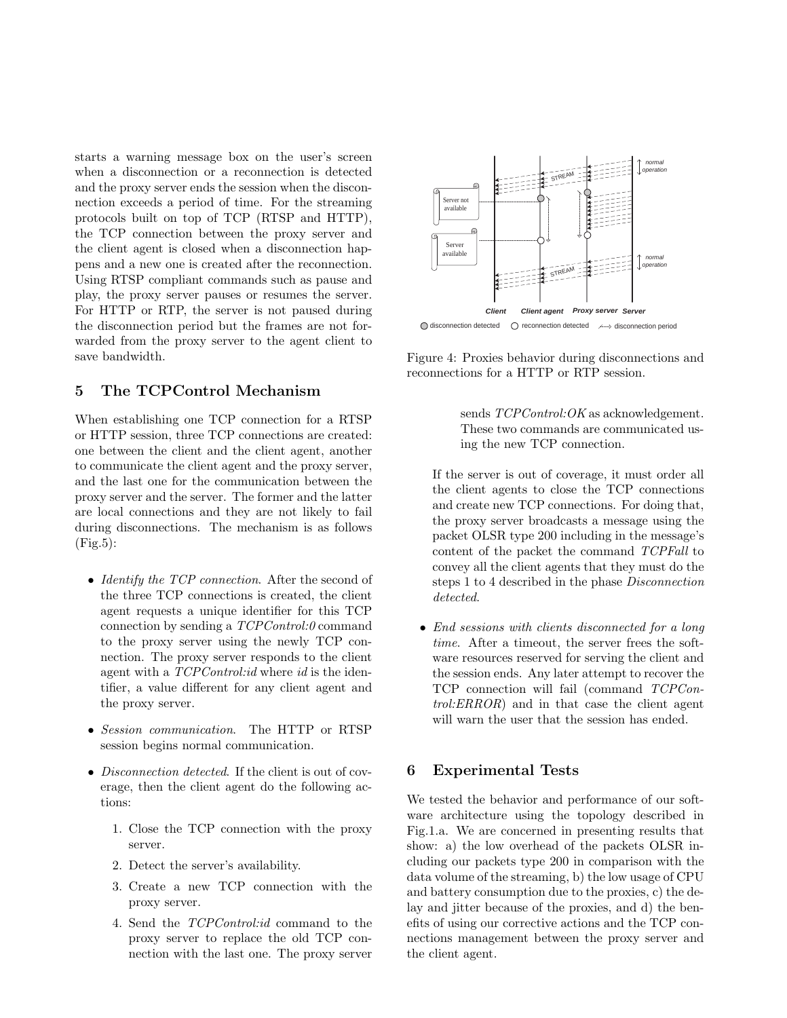starts a warning message box on the user's screen when a disconnection or a reconnection is detected and the proxy server ends the session when the disconnection exceeds a period of time. For the streaming protocols built on top of TCP (RTSP and HTTP), the TCP connection between the proxy server and the client agent is closed when a disconnection happens and a new one is created after the reconnection. Using RTSP compliant commands such as pause and play, the proxy server pauses or resumes the server. For HTTP or RTP, the server is not paused during the disconnection period but the frames are not forwarded from the proxy server to the agent client to save bandwidth.

## 5 The TCPControl Mechanism

When establishing one TCP connection for a RTSP or HTTP session, three TCP connections are created: one between the client and the client agent, another to communicate the client agent and the proxy server, and the last one for the communication between the proxy server and the server. The former and the latter are local connections and they are not likely to fail during disconnections. The mechanism is as follows  $(Fig.5):$ 

- Identify the TCP connection. After the second of the three TCP connections is created, the client agent requests a unique identifier for this TCP connection by sending a TCPControl:0 command to the proxy server using the newly TCP connection. The proxy server responds to the client agent with a  $TCPControl$ :id where id is the identifier, a value different for any client agent and the proxy server.
- Session communication. The HTTP or RTSP session begins normal communication.
- Disconnection detected. If the client is out of coverage, then the client agent do the following actions:
	- 1. Close the TCP connection with the proxy server.
	- 2. Detect the server's availability.
	- 3. Create a new TCP connection with the proxy server.
	- 4. Send the TCPControl:id command to the proxy server to replace the old TCP connection with the last one. The proxy server



Figure 4: Proxies behavior during disconnections and reconnections for a HTTP or RTP session.

sends  $TCPControl:OK$  as acknowledgement. These two commands are communicated using the new TCP connection.

If the server is out of coverage, it must order all the client agents to close the TCP connections and create new TCP connections. For doing that, the proxy server broadcasts a message using the packet OLSR type 200 including in the message's content of the packet the command TCPFall to convey all the client agents that they must do the steps 1 to 4 described in the phase Disconnection detected.

• End sessions with clients disconnected for a long time. After a timeout, the server frees the software resources reserved for serving the client and the session ends. Any later attempt to recover the TCP connection will fail (command TCPControl:ERROR) and in that case the client agent will warn the user that the session has ended.

# 6 Experimental Tests

We tested the behavior and performance of our software architecture using the topology described in Fig.1.a. We are concerned in presenting results that show: a) the low overhead of the packets OLSR including our packets type 200 in comparison with the data volume of the streaming, b) the low usage of CPU and battery consumption due to the proxies, c) the delay and jitter because of the proxies, and d) the benefits of using our corrective actions and the TCP connections management between the proxy server and the client agent.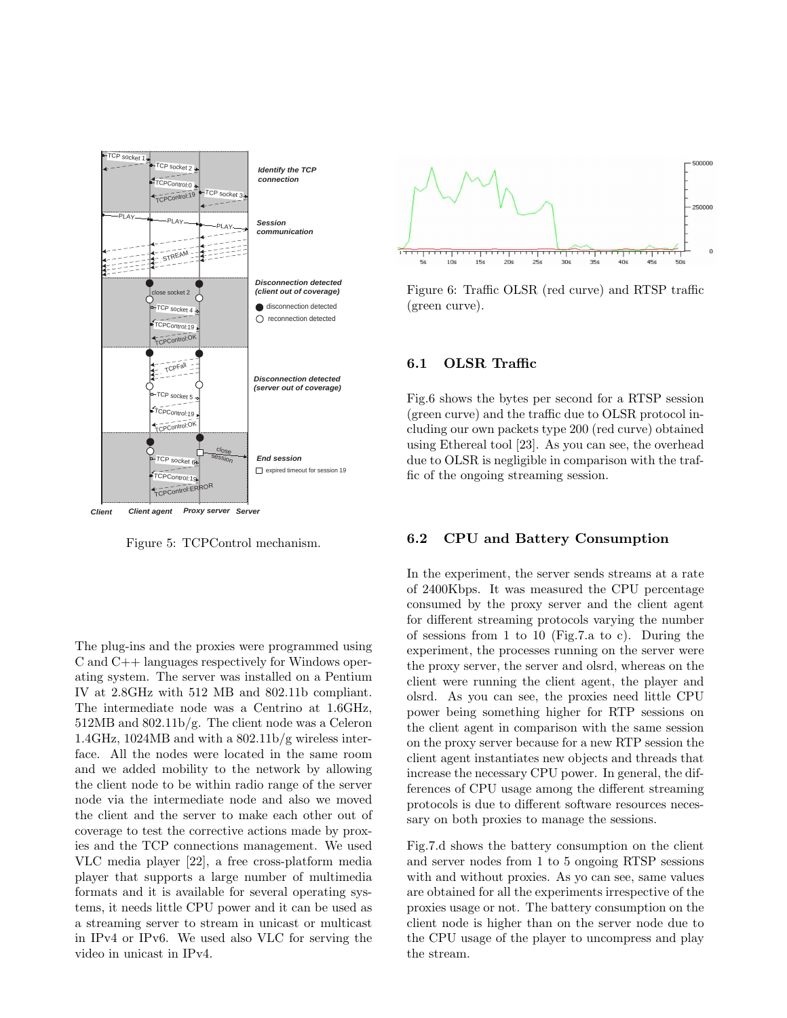

Figure 5: TCPControl mechanism.

The plug-ins and the proxies were programmed using C and C++ languages respectively for Windows operating system. The server was installed on a Pentium IV at 2.8GHz with 512 MB and 802.11b compliant. The intermediate node was a Centrino at 1.6GHz, 512MB and 802.11b/g. The client node was a Celeron 1.4GHz, 1024MB and with a 802.11b/g wireless interface. All the nodes were located in the same room and we added mobility to the network by allowing the client node to be within radio range of the server node via the intermediate node and also we moved the client and the server to make each other out of coverage to test the corrective actions made by proxies and the TCP connections management. We used VLC media player [22], a free cross-platform media player that supports a large number of multimedia formats and it is available for several operating systems, it needs little CPU power and it can be used as a streaming server to stream in unicast or multicast in IPv4 or IPv6. We used also VLC for serving the video in unicast in IPv4.



Figure 6: Traffic OLSR (red curve) and RTSP traffic (green curve).

## 6.1 OLSR Traffic

Fig.6 shows the bytes per second for a RTSP session (green curve) and the traffic due to OLSR protocol including our own packets type 200 (red curve) obtained using Ethereal tool [23]. As you can see, the overhead due to OLSR is negligible in comparison with the traffic of the ongoing streaming session.

#### 6.2 CPU and Battery Consumption

In the experiment, the server sends streams at a rate of 2400Kbps. It was measured the CPU percentage consumed by the proxy server and the client agent for different streaming protocols varying the number of sessions from 1 to 10 (Fig.7.a to c). During the experiment, the processes running on the server were the proxy server, the server and olsrd, whereas on the client were running the client agent, the player and olsrd. As you can see, the proxies need little CPU power being something higher for RTP sessions on the client agent in comparison with the same session on the proxy server because for a new RTP session the client agent instantiates new objects and threads that increase the necessary CPU power. In general, the differences of CPU usage among the different streaming protocols is due to different software resources necessary on both proxies to manage the sessions.

Fig.7.d shows the battery consumption on the client and server nodes from 1 to 5 ongoing RTSP sessions with and without proxies. As yo can see, same values are obtained for all the experiments irrespective of the proxies usage or not. The battery consumption on the client node is higher than on the server node due to the CPU usage of the player to uncompress and play the stream.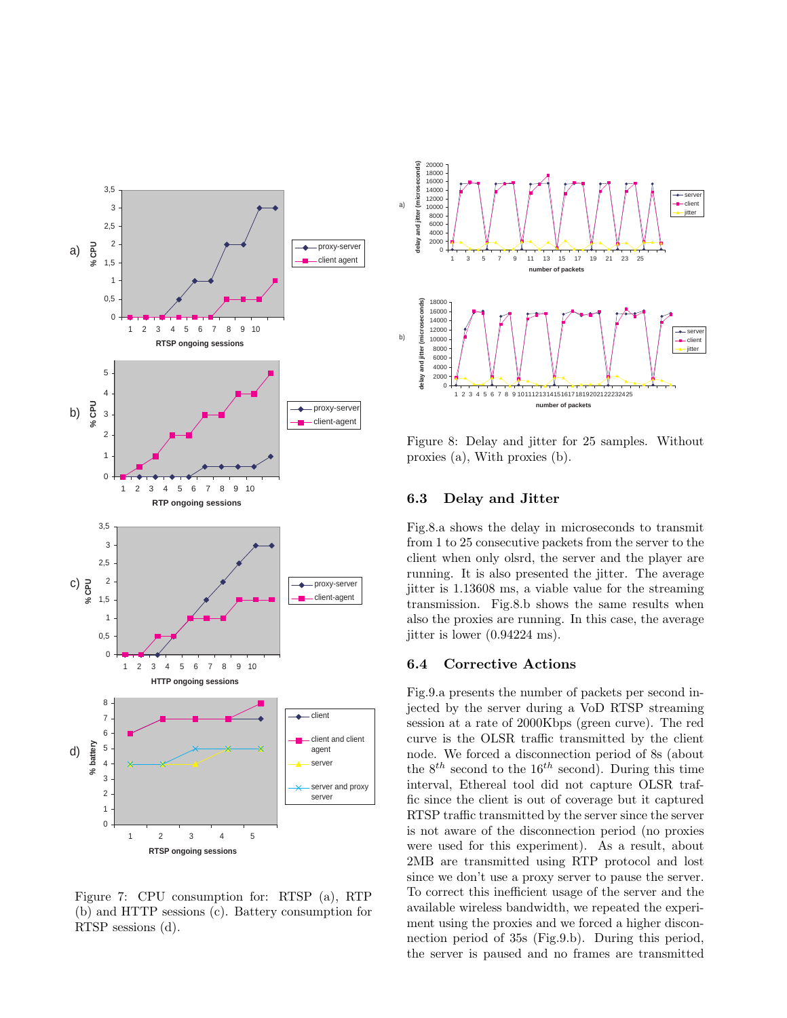

Figure 7: CPU consumption for: RTSP (a), RTP (b) and HTTP sessions (c). Battery consumption for RTSP sessions (d).



Figure 8: Delay and jitter for 25 samples. Without proxies (a), With proxies (b).

#### 6.3 Delay and Jitter

Fig.8.a shows the delay in microseconds to transmit from 1 to 25 consecutive packets from the server to the client when only olsrd, the server and the player are running. It is also presented the jitter. The average jitter is 1.13608 ms, a viable value for the streaming transmission. Fig.8.b shows the same results when also the proxies are running. In this case, the average jitter is lower (0.94224 ms).

## 6.4 Corrective Actions

Fig.9.a presents the number of packets per second injected by the server during a VoD RTSP streaming session at a rate of 2000Kbps (green curve). The red curve is the OLSR traffic transmitted by the client node. We forced a disconnection period of 8s (about the  $8^{th}$  second to the 16<sup>th</sup> second). During this time interval, Ethereal tool did not capture OLSR traffic since the client is out of coverage but it captured RTSP traffic transmitted by the server since the server is not aware of the disconnection period (no proxies were used for this experiment). As a result, about 2MB are transmitted using RTP protocol and lost since we don't use a proxy server to pause the server. To correct this inefficient usage of the server and the available wireless bandwidth, we repeated the experiment using the proxies and we forced a higher disconnection period of 35s (Fig.9.b). During this period, the server is paused and no frames are transmitted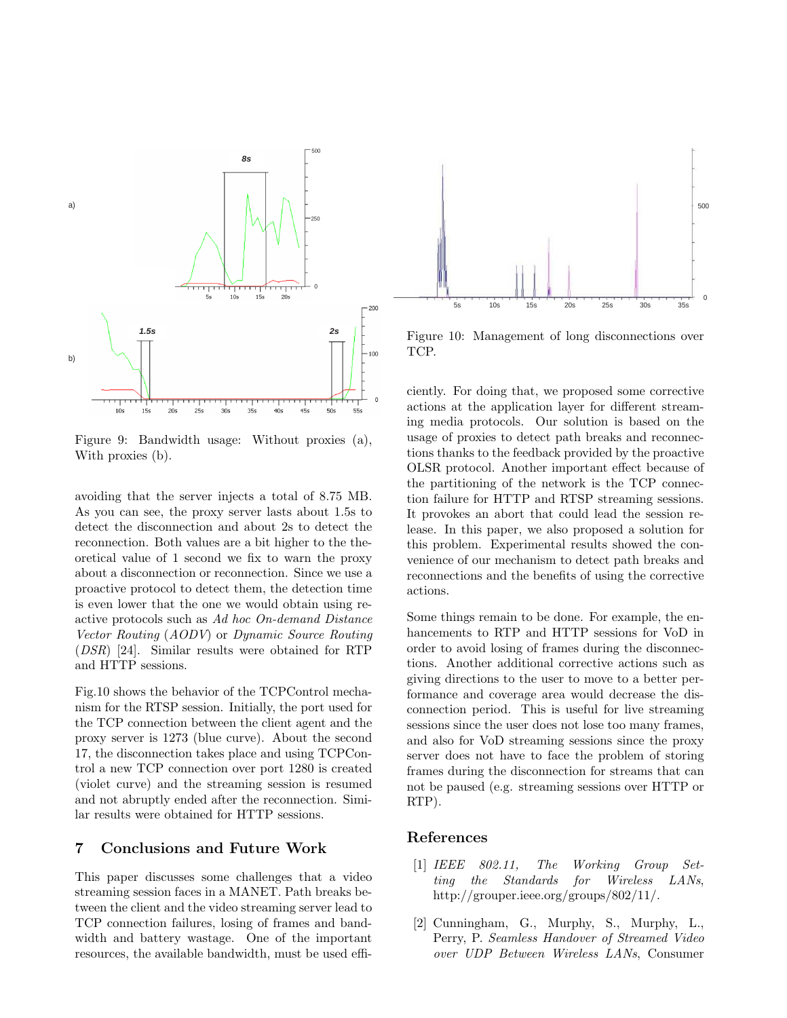

Figure 9: Bandwidth usage: Without proxies (a), With proxies (b).

avoiding that the server injects a total of 8.75 MB. As you can see, the proxy server lasts about 1.5s to detect the disconnection and about 2s to detect the reconnection. Both values are a bit higher to the theoretical value of 1 second we fix to warn the proxy about a disconnection or reconnection. Since we use a proactive protocol to detect them, the detection time is even lower that the one we would obtain using reactive protocols such as Ad hoc On-demand Distance Vector Routing (AODV) or Dynamic Source Routing (DSR) [24]. Similar results were obtained for RTP and HTTP sessions.

Fig.10 shows the behavior of the TCPControl mechanism for the RTSP session. Initially, the port used for the TCP connection between the client agent and the proxy server is 1273 (blue curve). About the second 17, the disconnection takes place and using TCPControl a new TCP connection over port 1280 is created (violet curve) and the streaming session is resumed and not abruptly ended after the reconnection. Similar results were obtained for HTTP sessions.

# 7 Conclusions and Future Work

This paper discusses some challenges that a video streaming session faces in a MANET. Path breaks between the client and the video streaming server lead to TCP connection failures, losing of frames and bandwidth and battery wastage. One of the important resources, the available bandwidth, must be used effi-



Figure 10: Management of long disconnections over TCP.

ciently. For doing that, we proposed some corrective actions at the application layer for different streaming media protocols. Our solution is based on the usage of proxies to detect path breaks and reconnections thanks to the feedback provided by the proactive OLSR protocol. Another important effect because of the partitioning of the network is the TCP connection failure for HTTP and RTSP streaming sessions. It provokes an abort that could lead the session release. In this paper, we also proposed a solution for this problem. Experimental results showed the convenience of our mechanism to detect path breaks and reconnections and the benefits of using the corrective actions.

Some things remain to be done. For example, the enhancements to RTP and HTTP sessions for VoD in order to avoid losing of frames during the disconnections. Another additional corrective actions such as giving directions to the user to move to a better performance and coverage area would decrease the disconnection period. This is useful for live streaming sessions since the user does not lose too many frames, and also for VoD streaming sessions since the proxy server does not have to face the problem of storing frames during the disconnection for streams that can not be paused (e.g. streaming sessions over HTTP or RTP).

#### References

- [1] IEEE 802.11, The Working Group Setting the Standards for Wireless LANs, http://grouper.ieee.org/groups/802/11/.
- [2] Cunningham, G., Murphy, S., Murphy, L., Perry, P. Seamless Handover of Streamed Video over UDP Between Wireless LANs, Consumer